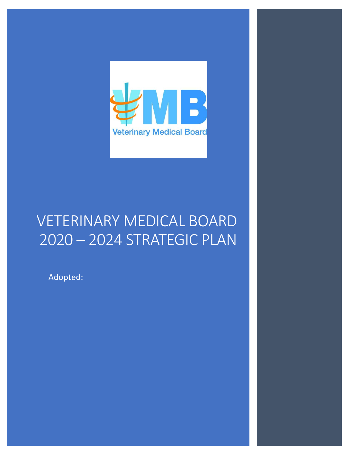

# VETERINARY MEDICAL BOARD 2020 – 2024 STRATEGIC PLAN

Adopted: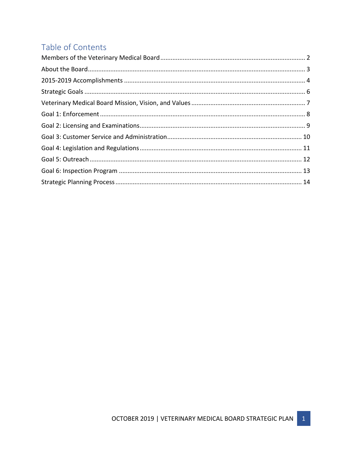# Table of Contents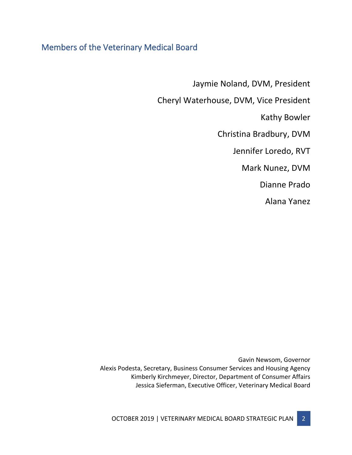## <span id="page-2-0"></span>Members of the Veterinary Medical Board

Jaymie Noland, DVM, President

Cheryl Waterhouse, DVM, Vice President

Kathy Bowler

Christina Bradbury, DVM

Jennifer Loredo, RVT

Mark Nunez, DVM

Dianne Prado

Alana Yanez

Gavin Newsom, Governor Alexis Podesta, Secretary, Business Consumer Services and Housing Agency Kimberly Kirchmeyer, Director, Department of Consumer Affairs Jessica Sieferman, Executive Officer, Veterinary Medical Board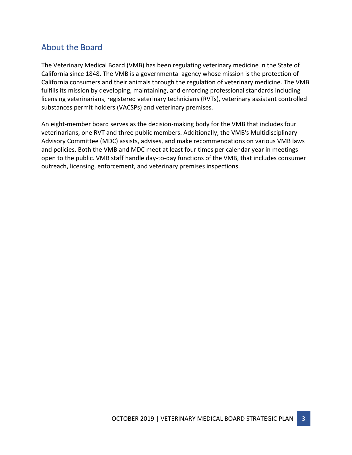## <span id="page-3-0"></span>About the Board

The Veterinary Medical Board (VMB) has been regulating veterinary medicine in the State of California since 1848. The VMB is a governmental agency whose mission is the protection of California consumers and their animals through the regulation of veterinary medicine. The VMB fulfills its mission by developing, maintaining, and enforcing professional standards including licensing veterinarians, registered veterinary technicians (RVTs), veterinary assistant controlled substances permit holders (VACSPs) and veterinary premises.

An eight-member board serves as the decision-making body for the VMB that includes four veterinarians, one RVT and three public members. Additionally, the VMB's Multidisciplinary Advisory Committee (MDC) assists, advises, and make recommendations on various VMB laws and policies. Both the VMB and MDC meet at least four times per calendar year in meetings open to the public. VMB staff handle day-to-day functions of the VMB, that includes consumer outreach, licensing, enforcement, and veterinary premises inspections.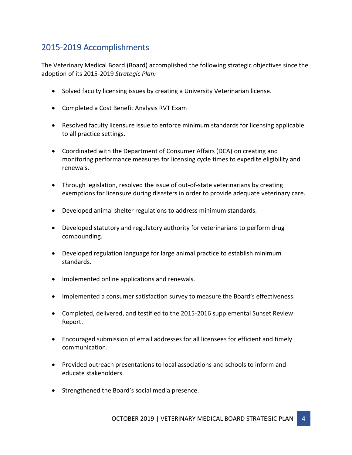## <span id="page-4-0"></span>2015-2019 Accomplishments

The Veterinary Medical Board (Board) accomplished the following strategic objectives since the adoption of its 2015-2019 *Strategic Plan:*

- Solved faculty licensing issues by creating a University Veterinarian license.
- Completed a Cost Benefit Analysis RVT Exam
- Resolved faculty licensure issue to enforce minimum standards for licensing applicable to all practice settings.
- Coordinated with the Department of Consumer Affairs (DCA) on creating and monitoring performance measures for licensing cycle times to expedite eligibility and renewals.
- Through legislation, resolved the issue of out-of-state veterinarians by creating exemptions for licensure during disasters in order to provide adequate veterinary care.
- Developed animal shelter regulations to address minimum standards.
- Developed statutory and regulatory authority for veterinarians to perform drug compounding.
- Developed regulation language for large animal practice to establish minimum standards.
- Implemented online applications and renewals.
- Implemented a consumer satisfaction survey to measure the Board's effectiveness.
- Completed, delivered, and testified to the 2015-2016 supplemental Sunset Review Report.
- Encouraged submission of email addresses for all licensees for efficient and timely communication.
- Provided outreach presentations to local associations and schools to inform and educate stakeholders.
- Strengthened the Board's social media presence.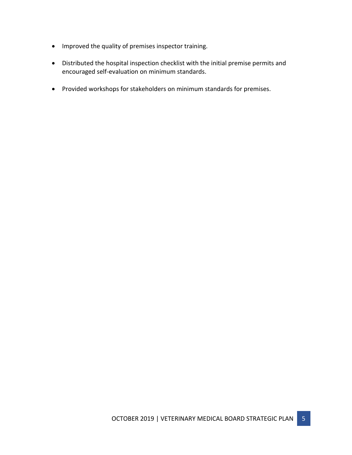- Improved the quality of premises inspector training.
- Distributed the hospital inspection checklist with the initial premise permits and encouraged self-evaluation on minimum standards.
- Provided workshops for stakeholders on minimum standards for premises.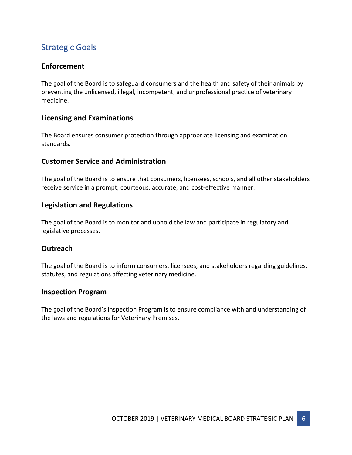# <span id="page-6-0"></span>Strategic Goals

## **Enforcement**

The goal of the Board is to safeguard consumers and the health and safety of their animals by preventing the unlicensed, illegal, incompetent, and unprofessional practice of veterinary medicine.

#### **Licensing and Examinations**

The Board ensures consumer protection through appropriate licensing and examination standards.

#### **Customer Service and Administration**

The goal of the Board is to ensure that consumers, licensees, schools, and all other stakeholders receive service in a prompt, courteous, accurate, and cost-effective manner.

#### **Legislation and Regulations**

The goal of the Board is to monitor and uphold the law and participate in regulatory and legislative processes.

#### **Outreach**

The goal of the Board is to inform consumers, licensees, and stakeholders regarding guidelines, statutes, and regulations affecting veterinary medicine.

#### **Inspection Program**

The goal of the Board's Inspection Program is to ensure compliance with and understanding of the laws and regulations for Veterinary Premises.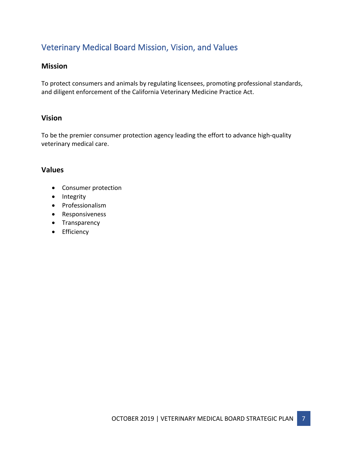# <span id="page-7-0"></span>Veterinary Medical Board Mission, Vision, and Values

### **Mission**

To protect consumers and animals by regulating licensees, promoting professional standards, and diligent enforcement of the California Veterinary Medicine Practice Act.

### **Vision**

To be the premier consumer protection agency leading the effort to advance high-quality veterinary medical care.

### **Values**

- Consumer protection
- Integrity
- Professionalism
- Responsiveness
- Transparency
- Efficiency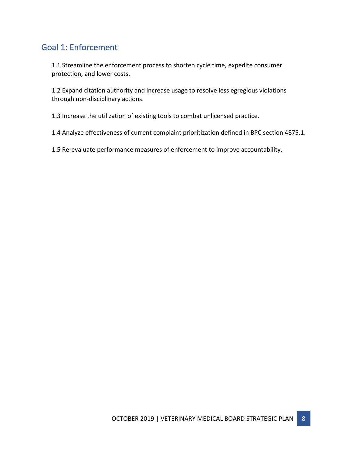## <span id="page-8-0"></span>Goal 1: Enforcement

1.1 Streamline the enforcement process to shorten cycle time, expedite consumer protection, and lower costs.

1.2 Expand citation authority and increase usage to resolve less egregious violations through non-disciplinary actions.

1.3 Increase the utilization of existing tools to combat unlicensed practice.

1.4 Analyze effectiveness of current complaint prioritization defined in BPC section 4875.1.

1.5 Re-evaluate performance measures of enforcement to improve accountability.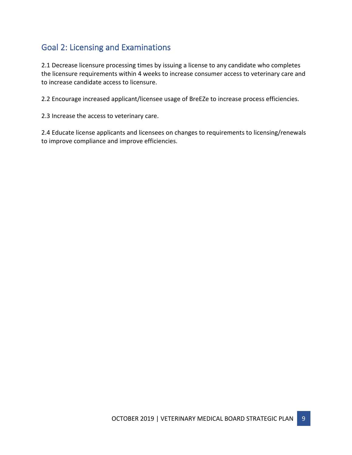# <span id="page-9-0"></span>Goal 2: Licensing and Examinations

2.1 Decrease licensure processing times by issuing a license to any candidate who completes the licensure requirements within 4 weeks to increase consumer access to veterinary care and to increase candidate access to licensure.

2.2 Encourage increased applicant/licensee usage of BreEZe to increase process efficiencies.

2.3 Increase the access to veterinary care.

2.4 Educate license applicants and licensees on changes to requirements to licensing/renewals to improve compliance and improve efficiencies.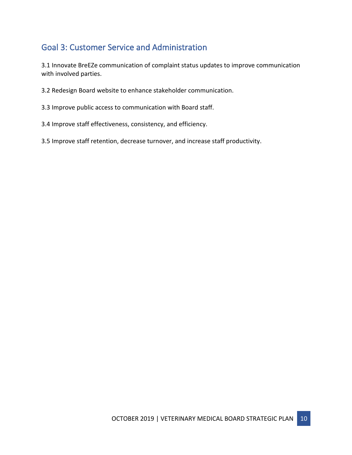# <span id="page-10-0"></span>Goal 3: Customer Service and Administration

3.1 Innovate BreEZe communication of complaint status updates to improve communication with involved parties.

- 3.2 Redesign Board website to enhance stakeholder communication.
- 3.3 Improve public access to communication with Board staff.
- 3.4 Improve staff effectiveness, consistency, and efficiency.

3.5 Improve staff retention, decrease turnover, and increase staff productivity.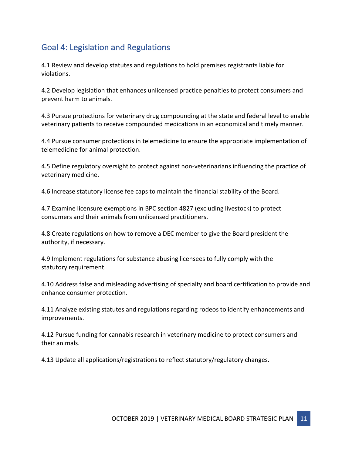# <span id="page-11-0"></span>Goal 4: Legislation and Regulations

4.1 Review and develop statutes and regulations to hold premises registrants liable for violations.

4.2 Develop legislation that enhances unlicensed practice penalties to protect consumers and prevent harm to animals.

4.3 Pursue protections for veterinary drug compounding at the state and federal level to enable veterinary patients to receive compounded medications in an economical and timely manner.

4.4 Pursue consumer protections in telemedicine to ensure the appropriate implementation of telemedicine for animal protection.

4.5 Define regulatory oversight to protect against non-veterinarians influencing the practice of veterinary medicine.

4.6 Increase statutory license fee caps to maintain the financial stability of the Board.

4.7 Examine licensure exemptions in BPC section 4827 (excluding livestock) to protect consumers and their animals from unlicensed practitioners.

4.8 Create regulations on how to remove a DEC member to give the Board president the authority, if necessary.

4.9 Implement regulations for substance abusing licensees to fully comply with the statutory requirement.

4.10 Address false and misleading advertising of specialty and board certification to provide and enhance consumer protection.

4.11 Analyze existing statutes and regulations regarding rodeos to identify enhancements and improvements.

4.12 Pursue funding for cannabis research in veterinary medicine to protect consumers and their animals.

4.13 Update all applications/registrations to reflect statutory/regulatory changes.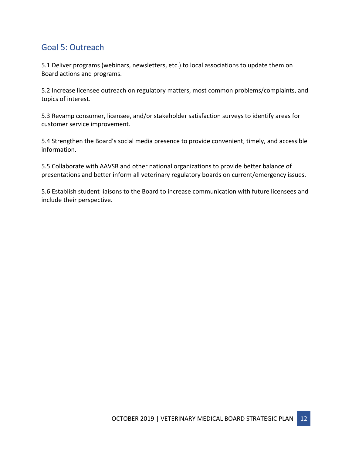# <span id="page-12-0"></span>Goal 5: Outreach

5.1 Deliver programs (webinars, newsletters, etc.) to local associations to update them on Board actions and programs.

5.2 Increase licensee outreach on regulatory matters, most common problems/complaints, and topics of interest.

5.3 Revamp consumer, licensee, and/or stakeholder satisfaction surveys to identify areas for customer service improvement.

5.4 Strengthen the Board's social media presence to provide convenient, timely, and accessible information.

5.5 Collaborate with AAVSB and other national organizations to provide better balance of presentations and better inform all veterinary regulatory boards on current/emergency issues.

5.6 Establish student liaisons to the Board to increase communication with future licensees and include their perspective.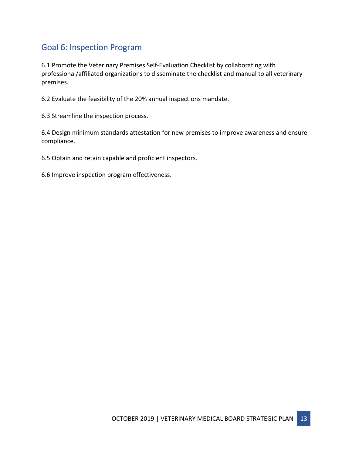## <span id="page-13-0"></span>Goal 6: Inspection Program

6.1 Promote the Veterinary Premises Self-Evaluation Checklist by collaborating with professional/affiliated organizations to disseminate the checklist and manual to all veterinary premises.

6.2 Evaluate the feasibility of the 20% annual inspections mandate.

6.3 Streamline the inspection process.

6.4 Design minimum standards attestation for new premises to improve awareness and ensure compliance.

6.5 Obtain and retain capable and proficient inspectors.

6.6 Improve inspection program effectiveness.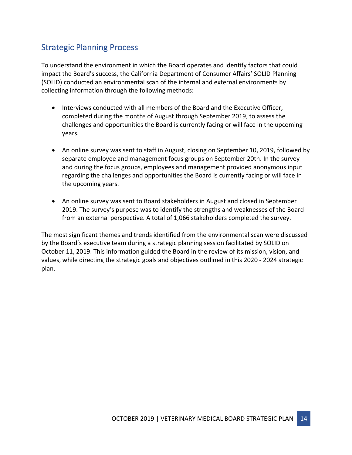## <span id="page-14-0"></span>Strategic Planning Process

To understand the environment in which the Board operates and identify factors that could impact the Board's success, the California Department of Consumer Affairs' SOLID Planning (SOLID) conducted an environmental scan of the internal and external environments by collecting information through the following methods:

- Interviews conducted with all members of the Board and the Executive Officer, completed during the months of August through September 2019, to assess the challenges and opportunities the Board is currently facing or will face in the upcoming years.
- An online survey was sent to staff in August, closing on September 10, 2019, followed by separate employee and management focus groups on September 20th. In the survey and during the focus groups, employees and management provided anonymous input regarding the challenges and opportunities the Board is currently facing or will face in the upcoming years.
- An online survey was sent to Board stakeholders in August and closed in September 2019. The survey's purpose was to identify the strengths and weaknesses of the Board from an external perspective. A total of 1,066 stakeholders completed the survey.

The most significant themes and trends identified from the environmental scan were discussed by the Board's executive team during a strategic planning session facilitated by SOLID on October 11, 2019. This information guided the Board in the review of its mission, vision, and values, while directing the strategic goals and objectives outlined in this 2020 - 2024 strategic plan.